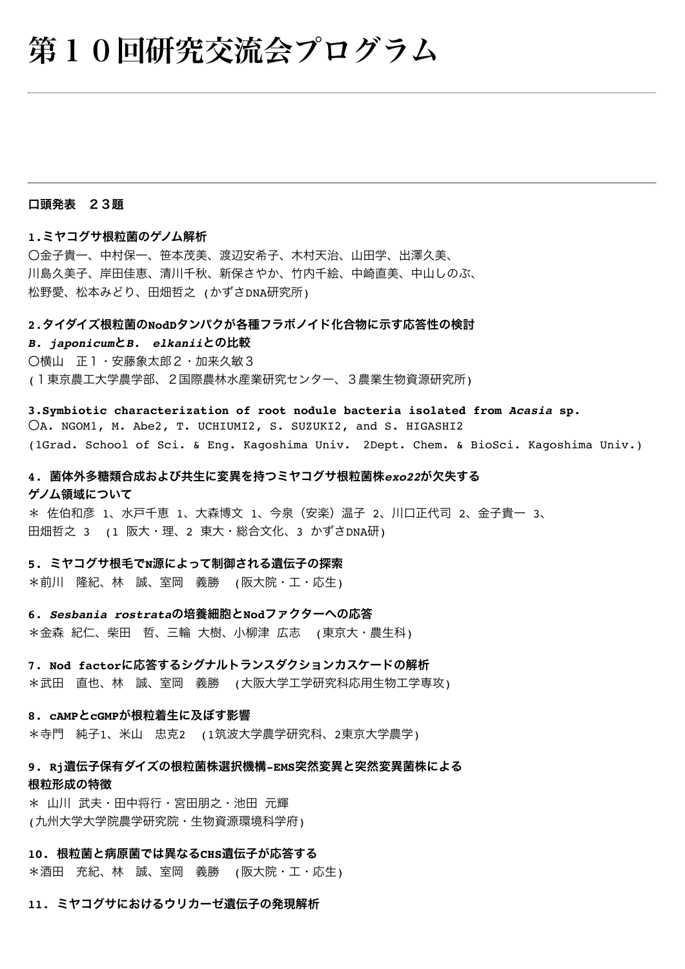# 第10回研究交流会プログラム

#### 口頭発表 23題

#### **1.**ミヤコグサ根粒菌のゲノム解析

〇金子貴一、中村保一、笹本茂美、渡辺安希子、木村天治、山田学、出澤久美、 川島久美子、岸田佳恵、清川千秋、新保さやか、竹内千絵、中崎直美、中山しのぶ、 松野愛、松本みどり、田畑哲之 (かずさDNA研究所)

#### **2.**タイダイズ根粒菌の**NodD**タンパクが各種フラボノイド化合物に示す応答性の検討

*B. japonicum*と*B. elkanii*との比較

〇横山 正1・安藤象太郎2・加来久敏3

(1東京農工大学農学部、2国際農林水産業研究センター、3農業生物資源研究所)

**3.Symbiotic characterization of root nodule bacteria isolated from** *Acasia* **sp.**  〇A. NGOM1, M. Abe2, T. UCHIUMI2, S. SUZUKI2, and S. HIGASHI2 (1Grad. School of Sci. & Eng. Kagoshima Univ. 2Dept. Chem. & BioSci. Kagoshima Univ.)

# **4.** 菌体外多糖類合成および共生に変異を持つミヤコグサ根粒菌株*exo22*が欠失する ゲノム領域について

\* 佐伯和彦 1、水戸千恵 1、大森博文 1、今泉(安楽)温子 2、川口正代司 2、金子貴一 3、 田畑哲之 3 (1 阪大・理、2 東大・総合文化、3 かずさDNA研)

#### **5.** ミヤコグサ根毛で**N**源によって制御される遺伝子の探索

\*前川 隆紀、林 誠、室岡 義勝 (阪大院・工・応生)

**6.** *Sesbania rostrata*の培養細胞と**Nod**ファクターへの応答 \*金森 紀仁、柴田 哲、三輪 大樹、小柳津 広志 (東京大・農生科)

# **7. Nod factor**に応答するシグナルトランスダクションカスケードの解析

\*武田 直也、林 誠、室岡 義勝 (大阪大学工学研究科応用生物工学専攻)

#### **8. cAMP**と**cGMP**が根粒着生に及ぼす影響

\*寺門 純子1、米山 忠克2 (1筑波大学農学研究科、2東京大学農学)

# **9. Rj**遺伝子保有ダイズの根粒菌株選択機構**-EMS**突然変異と突然変異菌株による 根粒形成の特徴

\* 山川 武夫・田中将行・宮田朋之・池田 元輝 (九州大学大学院農学研究院・生物資源環境科学府)

#### **10.** 根粒菌と病原菌では異なる**CHS**遺伝子が応答する

\*酒田 充紀、林 誠、室岡 義勝 (阪大院・工・応生)

**11.** ミヤコグサにおけるウリカーゼ遺伝子の発現解析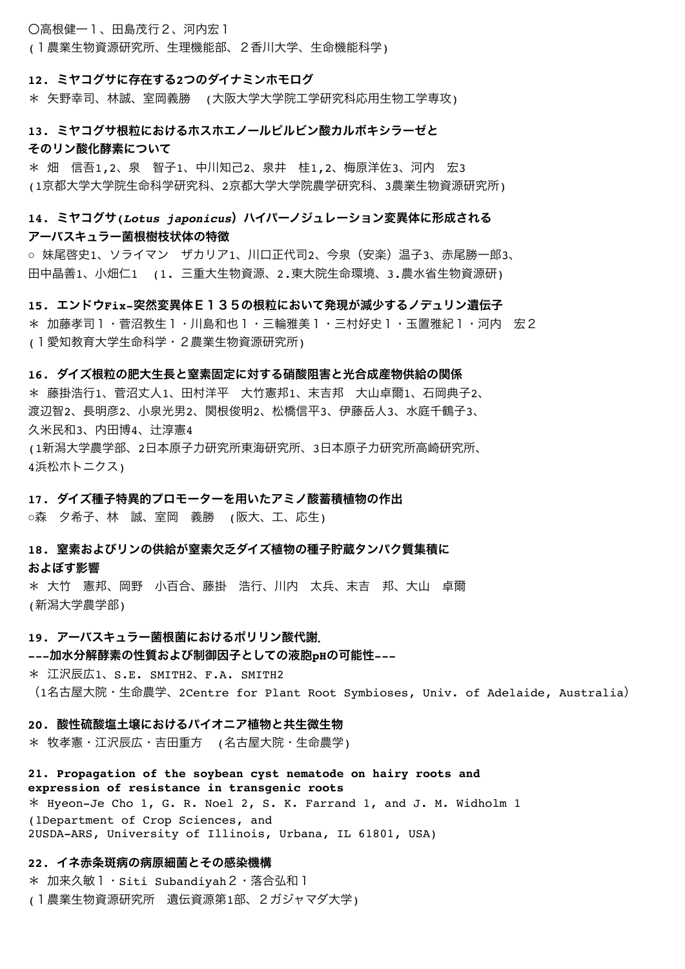#### 〇高根健一1、田島茂行2、河内宏1

(1農業生物資源研究所、生理機能部、2香川大学、生命機能科学)

#### **12.** ミヤコグサに存在する**2**つのダイナミンホモログ

\* 矢野幸司、林誠、室岡義勝 (大阪大学大学院工学研究科応用生物工学専攻)

# **13.** ミヤコグサ根粒におけるホスホエノールピルビン酸カルボキシラーゼと そのリン酸化酵素について

\* 畑 信吾1,2、泉 智子1、中川知己2、泉井 桂1,2、梅原洋佐3、河内 宏3 (1京都大学大学院生命科学研究科、2京都大学大学院農学研究科、3農業生物資源研究所)

# 14. ミヤコグサ(*Lotus japonicus*) ハイパーノジュレーション変異体に形成される アーバスキュラー菌根樹枝状体の特徴

○ 妹尾啓史1、ソライマン ザカリア1、川口正代司2、今泉 (安楽) 温子3、赤尾勝一郎3、 田中晶善1、小畑仁1 (1. 三重大生物資源、2.東大院生命環境、3.農水省生物資源研)

**15.** エンドウ**Fix-**突然変異体E135の根粒において発現が減少するノデュリン遺伝子

\* 加藤孝司1・菅沼教生1・川島和也1・三輪雅美1・三村好史1・玉置雅紀1・河内 宏2 (1愛知教育大学生命科学・2農業生物資源研究所)

#### **16.** ダイズ根粒の肥大生長と窒素固定に対する硝酸阻害と光合成産物供給の関係

\* 藤掛浩行1、菅沼丈人1、田村洋平 大竹憲邦1、末吉邦 大山卓爾1、石岡典子2、 渡辺智2、長明彦2、小泉光男2、関根俊明2、松橋信平3、伊藤岳人3、水庭千鶴子3、 久米民和3、内田博4、辻淳憲4 (1新潟大学農学部、2日本原子力研究所東海研究所、3日本原子力研究所高崎研究所、 4浜松ホトニクス)

# **17.** ダイズ種子特異的プロモーターを用いたアミノ酸蓄積植物の作出

○森 夕希子、林 誠、室岡 義勝 (阪大、工、応生)

# **18.** 窒素およびリンの供給が窒素欠乏ダイズ植物の種子貯蔵タンパク質集積に

#### およぼす影響

\* 大竹 憲邦、岡野 小百合、藤掛 浩行、川内 太兵、末吉 邦、大山 卓爾 (新潟大学農学部)

#### **19.** アーバスキュラー菌根菌におけるポリリン酸代謝.

#### **---**加水分解酵素の性質および制御因子としての液胞**pH**の可能性**---**

\* 江沢辰広1、S.E. SMITH2、F.A. SMITH2 (1名古屋大院・生命農学、2Centre for Plant Root Symbioses, Univ. of Adelaide, Australia)

#### **20.** 酸性硫酸塩土壌におけるパイオニア植物と共生微生物

\* 牧孝憲・江沢辰広・吉田重方 (名古屋大院・生命農学)

**21. Propagation of the soybean cyst nematode on hairy roots and expression of resistance in transgenic roots** \* Hyeon-Je Cho 1, G. R. Noel 2, S. K. Farrand 1, and J. M. Widholm 1 (1Department of Crop Sciences, and 2USDA-ARS, University of Illinois, Urbana, IL 61801, USA)

#### **22.** イネ赤条斑病の病原細菌とその感染機構

\* 加来久敏1・Siti Subandiyah2・落合弘和1 (1農業生物資源研究所 遺伝資源第1部、2ガジャマダ大学)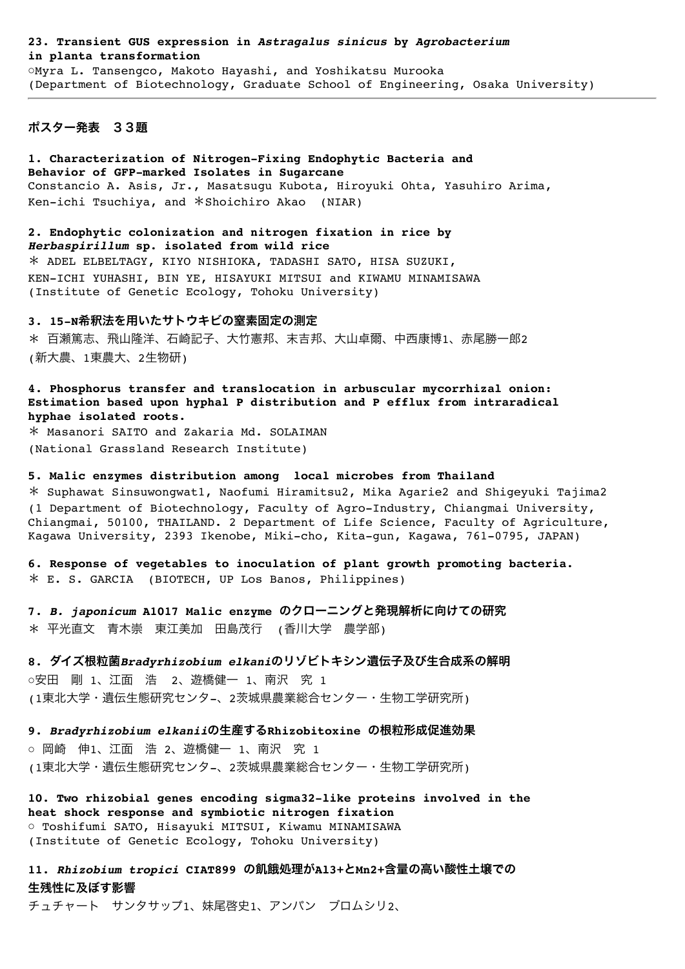#### **23. Transient GUS expression in** *Astragalus sinicus* **by** *Agrobacterium* **in planta transformation** ○Myra L. Tansengco, Makoto Hayashi, and Yoshikatsu Murooka

(Department of Biotechnology, Graduate School of Engineering, Osaka University)

# ポスター発表 33題

**1. Characterization of Nitrogen-Fixing Endophytic Bacteria and Behavior of GFP-marked Isolates in Sugarcane** Constancio A. Asis, Jr., Masatsugu Kubota, Hiroyuki Ohta, Yasuhiro Arima, Ken-ichi Tsuchiya, and \*Shoichiro Akao (NIAR)

**2. Endophytic colonization and nitrogen fixation in rice by**  *Herbaspirillum* **sp. isolated from wild rice** \* ADEL ELBELTAGY, KIYO NISHIOKA, TADASHI SATO, HISA SUZUKI, KEN-ICHI YUHASHI, BIN YE, HISAYUKI MITSUI and KIWAMU MINAMISAWA (Institute of Genetic Ecology, Tohoku University)

#### **3. 15-N**希釈法を用いたサトウキビの窒素固定の測定

\* 百瀬篤志、飛山隆洋、石崎記子、大竹憲邦、末吉邦、大山卓爾、中西康博1、赤尾勝一郎2 (新大農、1東農大、2生物研)

# **4. Phosphorus transfer and translocation in arbuscular mycorrhizal onion: Estimation based upon hyphal P distribution and P efflux from intraradical hyphae isolated roots.**

\* Masanori SAITO and Zakaria Md. SOLAIMAN (National Grassland Research Institute)

#### **5. Malic enzymes distribution among local microbes from Thailand**

\* Suphawat Sinsuwongwat1, Naofumi Hiramitsu2, Mika Agarie2 and Shigeyuki Tajima2 (1 Department of Biotechnology, Faculty of Agro-Industry, Chiangmai University, Chiangmai, 50100, THAILAND. 2 Department of Life Science, Faculty of Agriculture, Kagawa University, 2393 Ikenobe, Miki-cho, Kita-gun, Kagawa, 761-0795, JAPAN)

**6. Response of vegetables to inoculation of plant growth promoting bacteria.**  \* E. S. GARCIA (BIOTECH, UP Los Banos, Philippines)

**7.** *B. japonicum* **A1017 Malic enzyme** のクローニングと発現解析に向けての研究 \* 平光直文 青木崇 東江美加 田島茂行 (香川大学 農学部)

**8.** ダイズ根粒菌*Bradyrhizobium elkani*のリゾビトキシン遺伝子及び生合成系の解明 ○安田 剛 1、江面 浩 2、遊橋健一 1、南沢 究 1 (1東北大学・遺伝生態研究センタ-、2茨城県農業総合センター・生物工学研究所)

**9.** *Bradyrhizobium elkanii*の生産する**Rhizobitoxine** の根粒形成促進効果 ○ 岡崎 伸1、江面 浩 2、遊橋健一 1、南沢 究 1 (1東北大学・遺伝生態研究センタ-、2茨城県農業総合センター・生物工学研究所)

**10. Two rhizobial genes encoding sigma32-like proteins involved in the heat shock response and symbiotic nitrogen fixation** ○ Toshifumi SATO, Hisayuki MITSUI, Kiwamu MINAMISAWA (Institute of Genetic Ecology, Tohoku University)

**11.** *Rhizobium tropici* **CIAT899** の飢餓処理が**Al3+**と**Mn2+**含量の高い酸性土壌での 生残性に及ぼす影響

チュチャート サンタサップ1、妹尾啓史1、アンパン ブロムシリ2、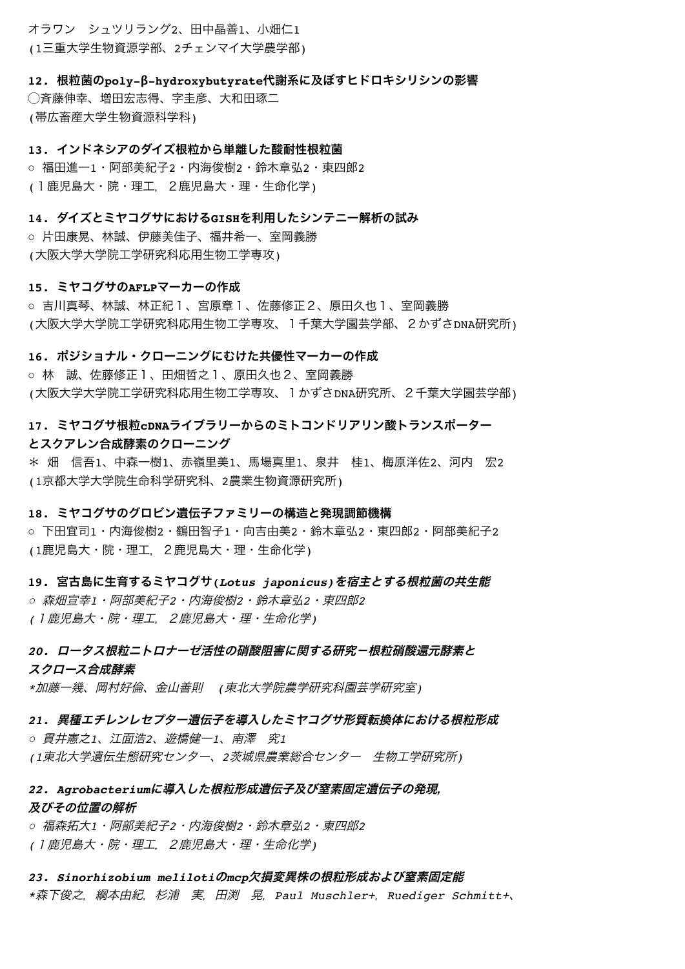オラワン シュツリラング2、田中晶善1、小畑仁1 (1三重大学生物資源学部、2チェンマイ大学農学部)

**12.** 根粒菌の**poly-β-hydroxybutyrate**代謝系に及ぼすヒドロキシリシンの影響 ◯斉藤伸幸、増田宏志得、字圭彦、大和田琢二 (帯広畜産大学生物資源科学科)

**13.** インドネシアのダイズ根粒から単離した酸耐性根粒菌

○ 福田進一1・阿部美紀子2・内海俊樹2・鈴木章弘2・東四郎2 (1鹿児島大・院・理工,2鹿児島大・理・生命化学)

**14.** ダイズとミヤコグサにおける**GISH**を利用したシンテニー解析の試み

○ 片田康晃、林誠、伊藤美佳子、福井希一、室岡義勝 (大阪大学大学院工学研究科応用生物工学専攻)

#### **15.** ミヤコグサの**AFLP**マーカーの作成

○ 吉川真琴、林誠、林正紀1、宮原章1、佐藤修正2、原田久也1、室岡義勝 (大阪大学大学院工学研究科応用生物工学専攻、1千葉大学園芸学部、2かずさDNA研究所)

#### **16.** ポジショナル・クローニングにむけた共優性マーカーの作成

○ 林 誠、佐藤修正1、田畑哲之1、原田久也2、室岡義勝 (大阪大学大学院工学研究科応用生物工学専攻、1かずさDNA研究所、2千葉大学園芸学部)

**17.** ミヤコグサ根粒**cDNA**ライブラリーからのミトコンドリアリン酸トランスポーター とスクアレン合成酵素のクローニング

\* 畑 信吾1、中森一樹1、赤嶺里美1、馬場真里1、泉井 桂1、梅原洋佐2、河内 宏2 (1京都大学大学院生命科学研究科、2農業生物資源研究所)

### **18.** ミヤコグサのグロビン遺伝子ファミリーの構造と発現調節機構

○ 下田宜司1・内海俊樹2・鶴田智子1・向吉由美2・鈴木章弘2・東四郎2・阿部美紀子2 (1鹿児島大・院・理工,2鹿児島大・理・生命化学)

# **19.** 宮古島に生育するミヤコグサ**(***Lotus japonicus)*を宿主とする根粒菌の共生能

○ 森畑宣幸*1*・阿部美紀子*2*・内海俊樹*2*・鈴木章弘*2*・東四郎*2 (*1鹿児島大・院・理工,2鹿児島大・理・生命化学*)*

# *20.* ロータス根粒ニトロナーゼ活性の硝酸阻害に関する研究-根粒硝酸還元酵素と スクロース合成酵素

*\**加藤一幾、岡村好倫、金山善則 *(*東北大学院農学研究科園芸学研究室*)*

# *21.* 異種エチレンレセプター遺伝子を導入したミヤコグサ形質転換体における根粒形成

○ 貫井憲之*1*、江面浩*2*、遊橋健一*1*、南澤 究*1 (1*東北大学遺伝生態研究センター、*2*茨城県農業総合センター 生物工学研究所*)*

# *22. Agrobacterium*に導入した根粒形成遺伝子及び窒素固定遺伝子の発現, 及びその位置の解析

○ 福森拓大*1*・阿部美紀子*2*・内海俊樹*2*・鈴木章弘*2*・東四郎*2 (*1鹿児島大・院・理工,2鹿児島大・理・生命化学*)*

*23. Sinorhizobium meliloti*の*mcp*欠損変異株の根粒形成および窒素固定能 *\**森下俊之,綱本由紀,杉浦 実,田渕 晃,*Paul Muschler+*,*Ruediger Schmitt+*、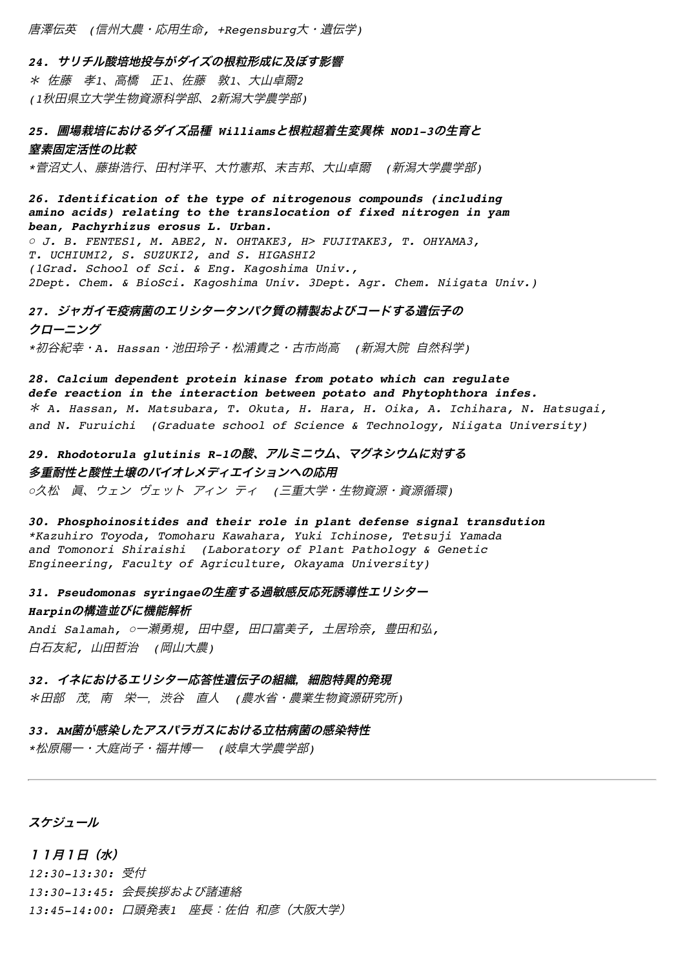唐澤伝英 *(*信州大農・応用生命*, +Regensburg*大・遺伝学*)*

*24.* サリチル酸培地投与がダイズの根粒形成に及ぼす影響 \* 佐藤 孝*1*、高橋 正*1*、佐藤 敦*1*、大山卓爾*2 (1*秋田県立大学生物資源科学部、*2*新潟大学農学部*)*

*25.* 圃場栽培におけるダイズ品種 *Williams*と根粒超着生変異株 *NOD1-3*の生育と 窒素固定活性の比較

*\**菅沼丈人、藤掛浩行、田村洋平、大竹憲邦、末吉邦、大山卓爾 *(*新潟大学農学部*)*

*26. Identification of the type of nitrogenous compounds (including amino acids) relating to the translocation of fixed nitrogen in yam bean, Pachyrhizus erosus L. Urban.*  ○ *J. B. FENTES1, M. ABE2, N. OHTAKE3, H> FUJITAKE3, T. OHYAMA3, T. UCHIUMI2, S. SUZUKI2, and S. HIGASHI2 (1Grad. School of Sci. & Eng. Kagoshima Univ., 2Dept. Chem. & BioSci. Kagoshima Univ. 3Dept. Agr. Chem. Niigata Univ.)*

*27.* ジャガイモ疫病菌のエリシタータンパク質の精製およびコードする遺伝子の クローニング

*\**初谷紀幸・*A. Hassan*・池田玲子・松浦貴之・古市尚高 *(*新潟大院 自然科学*)*

*28. Calcium dependent protein kinase from potato which can regulate defe reaction in the interaction between potato and Phytophthora infes.*  \* *A. Hassan, M. Matsubara, T. Okuta, H. Hara, H. Oika, A. Ichihara, N. Hatsugai, and N. Furuichi (Graduate school of Science & Technology, Niigata University)*

*29. Rhodotorula glutinis R-1*の酸、アルミニウム、マグネシウムに対する 多重耐性と酸性土壌のバイオレメディエイションへの応用 ○久松 眞、ウェン ヴェット アィン ティ *(*三重大学・生物資源・資源循環*)*

*30. Phosphoinositides and their role in plant defense signal transdution \*Kazuhiro Toyoda, Tomoharu Kawahara, Yuki Ichinose, Tetsuji Yamada and Tomonori Shiraishi (Laboratory of Plant Pathology & Genetic Engineering, Faculty of Agriculture, Okayama University)*

*31. Pseudomonas syringae*の生産する過敏感反応死誘導性エリシター *Harpin*の構造並びに機能解析

*Andi Salamah,* ○一瀬勇規*,* 田中塁*,* 田口富美子*,* 土居玲奈*,* 豊田和弘*,*  白石友紀*,* 山田哲治 *(*岡山大農*)*

*32.* イネにおけるエリシター応答性遺伝子の組織,細胞特異的発現 \*田部 茂,南 栄一,渋谷 直人 *(*農水省・農業生物資源研究所*)*

*33. AM*菌が感染したアスパラガスにおける立枯病菌の感染特性

*\**松原陽一・大庭尚子・福井博一 *(*岐阜大学農学部*)*

スケジュール

11月1日(水) *12:30-13:30:* 受付 *13:30-13:45:* 会長挨拶および諸連絡 *13:45-14:00:* 口頭発表*1* 座長:佐伯 和彦(大阪大学)